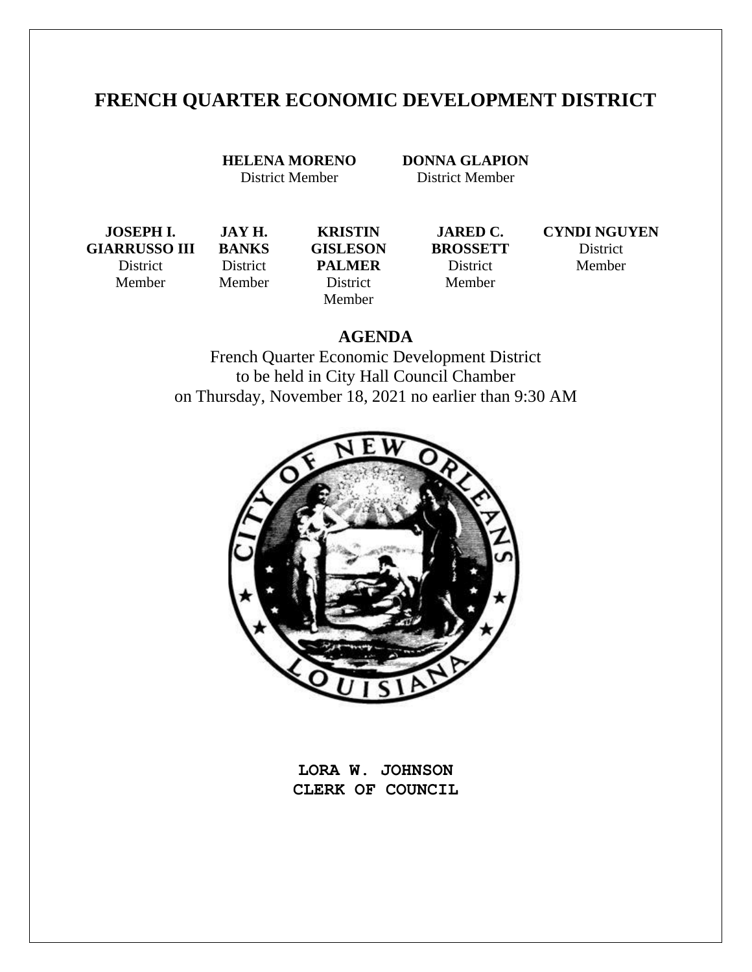# **FRENCH QUARTER ECONOMIC DEVELOPMENT DISTRICT**

**HELENA MORENO** District Member

**JAY H. BANKS** District Member

**DONNA GLAPION** District Member

**JOSEPH I. GIARRUSSO III** District

Member

**KRISTIN GISLESON PALMER** District Member

**JARED C. BROSSETT** District Member

**CYNDI NGUYEN** District Member

## **AGENDA**

French Quarter Economic Development District to be held in City Hall Council Chamber on Thursday, November 18, 2021 no earlier than 9:30 AM



**LORA W. JOHNSON CLERK OF COUNCIL**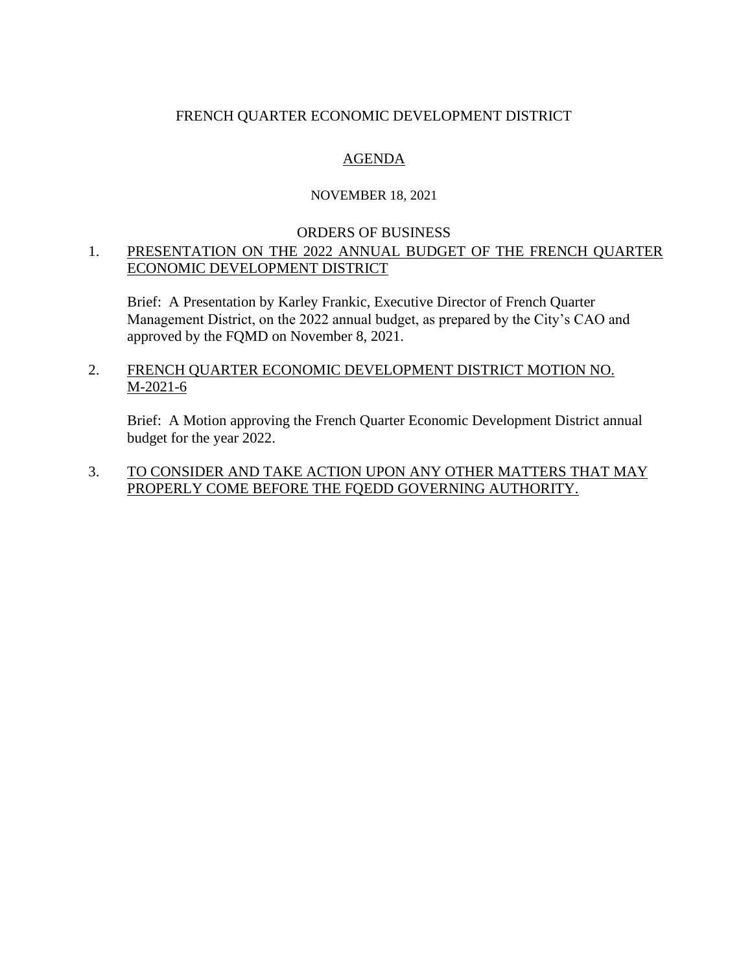### FRENCH QUARTER ECONOMIC DEVELOPMENT DISTRICT

## AGENDA

### NOVEMBER 18, 2021

#### ORDERS OF BUSINESS

### 1. PRESENTATION ON THE 2022 ANNUAL BUDGET OF THE FRENCH QUARTER ECONOMIC DEVELOPMENT DISTRICT

Brief: A Presentation by Karley Frankic, Executive Director of French Quarter Management District, on the 2022 annual budget, as prepared by the City's CAO and approved by the FQMD on November 8, 2021.

### 2. FRENCH QUARTER ECONOMIC DEVELOPMENT DISTRICT MOTION NO. M-2021-6

Brief: A Motion approving the French Quarter Economic Development District annual budget for the year 2022.

### 3. TO CONSIDER AND TAKE ACTION UPON ANY OTHER MATTERS THAT MAY PROPERLY COME BEFORE THE FQEDD GOVERNING AUTHORITY.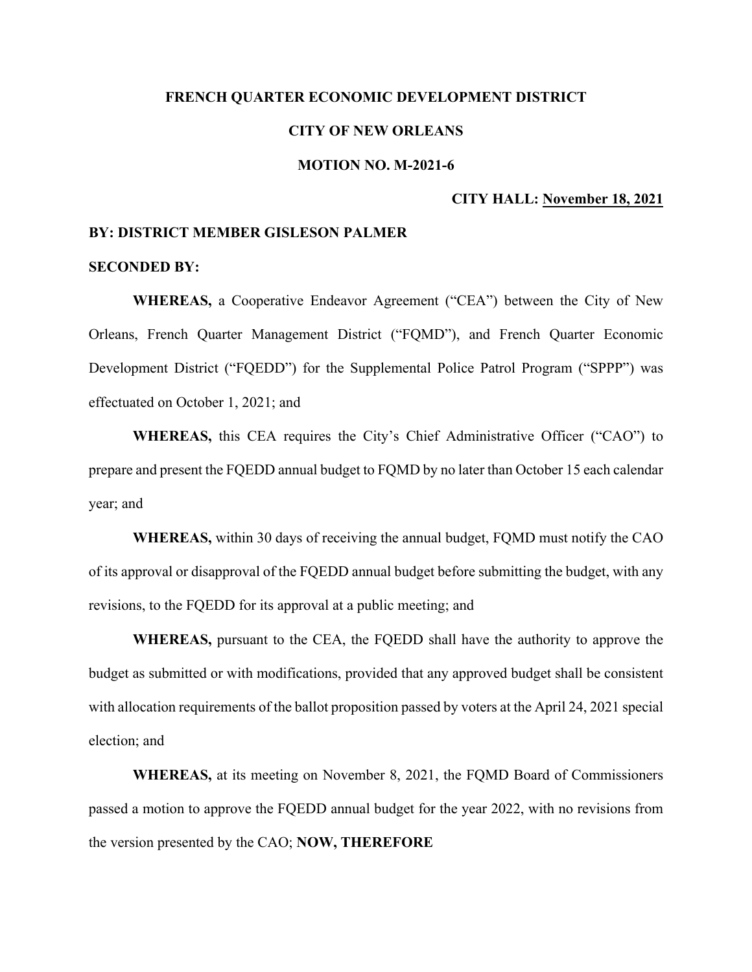#### **FRENCH QUARTER ECONOMIC DEVELOPMENT DISTRICT**

#### **CITY OF NEW ORLEANS**

#### **MOTION NO. M-2021-6**

#### **CITY HALL: November 18, 2021**

#### **BY: DISTRICT MEMBER GISLESON PALMER**

#### **SECONDED BY:**

**WHEREAS,** a Cooperative Endeavor Agreement ("CEA") between the City of New Orleans, French Quarter Management District ("FQMD"), and French Quarter Economic Development District ("FQEDD") for the Supplemental Police Patrol Program ("SPPP") was effectuated on October 1, 2021; and

**WHEREAS,** this CEA requires the City's Chief Administrative Officer ("CAO") to prepare and present the FQEDD annual budget to FQMD by no later than October 15 each calendar year; and

**WHEREAS,** within 30 days of receiving the annual budget, FQMD must notify the CAO of its approval or disapproval of the FQEDD annual budget before submitting the budget, with any revisions, to the FQEDD for its approval at a public meeting; and

**WHEREAS,** pursuant to the CEA, the FQEDD shall have the authority to approve the budget as submitted or with modifications, provided that any approved budget shall be consistent with allocation requirements of the ballot proposition passed by voters at the April 24, 2021 special election; and

**WHEREAS,** at its meeting on November 8, 2021, the FQMD Board of Commissioners passed a motion to approve the FQEDD annual budget for the year 2022, with no revisions from the version presented by the CAO; **NOW, THEREFORE**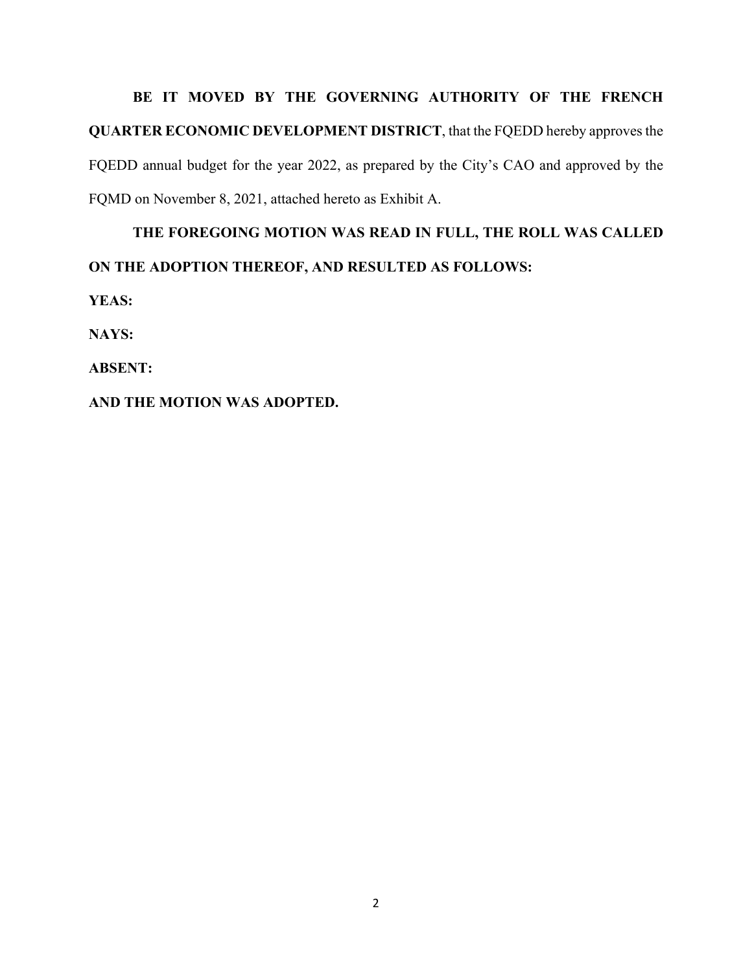BE IT MOVED BY THE GOVERNING AUTHORITY OF THE FRENCH **QUARTER ECONOMIC DEVELOPMENT DISTRICT**, that the FQEDD hereby approves the FQEDD annual budget for the year 2022, as prepared by the City's CAO and approved by the FQMD on November 8, 2021, attached hereto as Exhibit A.

# **THE FOREGOING MOTION WAS READ IN FULL, THE ROLL WAS CALLED ON THE ADOPTION THEREOF, AND RESULTED AS FOLLOWS:**

**YEAS:**

**NAYS:**

**ABSENT:** 

### **AND THE MOTION WAS ADOPTED.**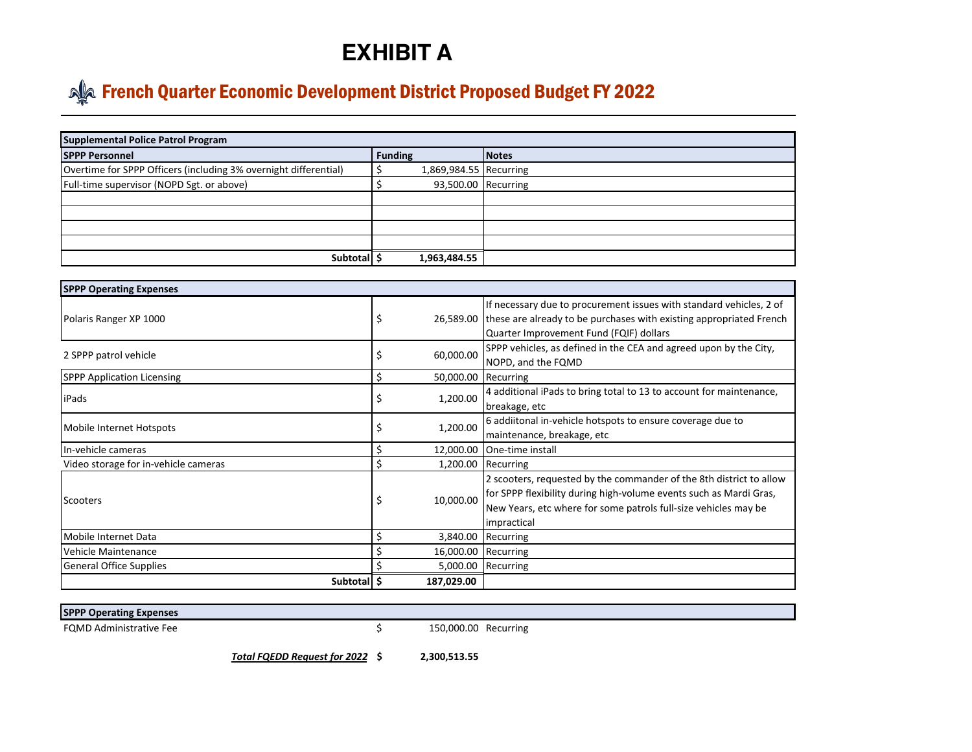# **EXHIBIT A**

# **Alget French Quarter Economic Development District Proposed Budget FY 2022**

| <b>Supplemental Police Patrol Program</b>                        |                |                        |              |  |  |  |  |  |
|------------------------------------------------------------------|----------------|------------------------|--------------|--|--|--|--|--|
| <b>SPPP Personnel</b>                                            | <b>Funding</b> |                        | <b>Notes</b> |  |  |  |  |  |
| Overtime for SPPP Officers (including 3% overnight differential) |                | 1,869,984.55 Recurring |              |  |  |  |  |  |
| Full-time supervisor (NOPD Sgt. or above)                        |                | 93,500.00 Recurring    |              |  |  |  |  |  |
|                                                                  |                |                        |              |  |  |  |  |  |
|                                                                  |                |                        |              |  |  |  |  |  |
|                                                                  |                |                        |              |  |  |  |  |  |
|                                                                  |                |                        |              |  |  |  |  |  |
| Subtotal                                                         |                | 1,963,484.55           |              |  |  |  |  |  |

| <b>SPPP Operating Expenses</b>       |    |                     |                                                                                                                                                                                                                             |  |  |  |  |
|--------------------------------------|----|---------------------|-----------------------------------------------------------------------------------------------------------------------------------------------------------------------------------------------------------------------------|--|--|--|--|
| Polaris Ranger XP 1000               |    |                     | If necessary due to procurement issues with standard vehicles, 2 of<br>26,589.00 these are already to be purchases with existing appropriated French<br>Quarter Improvement Fund (FQIF) dollars                             |  |  |  |  |
| 2 SPPP patrol vehicle                | \$ | 60,000.00           | SPPP vehicles, as defined in the CEA and agreed upon by the City,<br>NOPD, and the FQMD                                                                                                                                     |  |  |  |  |
| <b>SPPP Application Licensing</b>    | \$ | 50,000.00 Recurring |                                                                                                                                                                                                                             |  |  |  |  |
| iPads                                |    | 1,200.00            | 4 additional iPads to bring total to 13 to account for maintenance,<br>breakage, etc                                                                                                                                        |  |  |  |  |
| Mobile Internet Hotspots             | S  | 1,200.00            | 6 addiitonal in-vehicle hotspots to ensure coverage due to<br>maintenance, breakage, etc                                                                                                                                    |  |  |  |  |
| In-vehicle cameras                   | \$ | 12,000.00           | One-time install                                                                                                                                                                                                            |  |  |  |  |
| Video storage for in-vehicle cameras | \$ |                     | 1,200.00 Recurring                                                                                                                                                                                                          |  |  |  |  |
| Scooters                             |    | 10,000.00           | 2 scooters, requested by the commander of the 8th district to allow<br>for SPPP flexibility during high-volume events such as Mardi Gras,<br>New Years, etc where for some patrols full-size vehicles may be<br>impractical |  |  |  |  |
| Mobile Internet Data                 | \$ | 3,840.00            | Recurring                                                                                                                                                                                                                   |  |  |  |  |
| l Vehicle Maintenance                |    | 16,000.00           | Recurring                                                                                                                                                                                                                   |  |  |  |  |
| <b>General Office Supplies</b>       |    | 5,000.00            | Recurring                                                                                                                                                                                                                   |  |  |  |  |
| Subtotal \$                          |    | 187,029.00          |                                                                                                                                                                                                                             |  |  |  |  |

#### **SPPP Operating Expenses**

FQMD Administrative Fee <br>
S
3000.00 Recurring

*Total FQEDD Request for 2022* **\$ 2,300,513.55**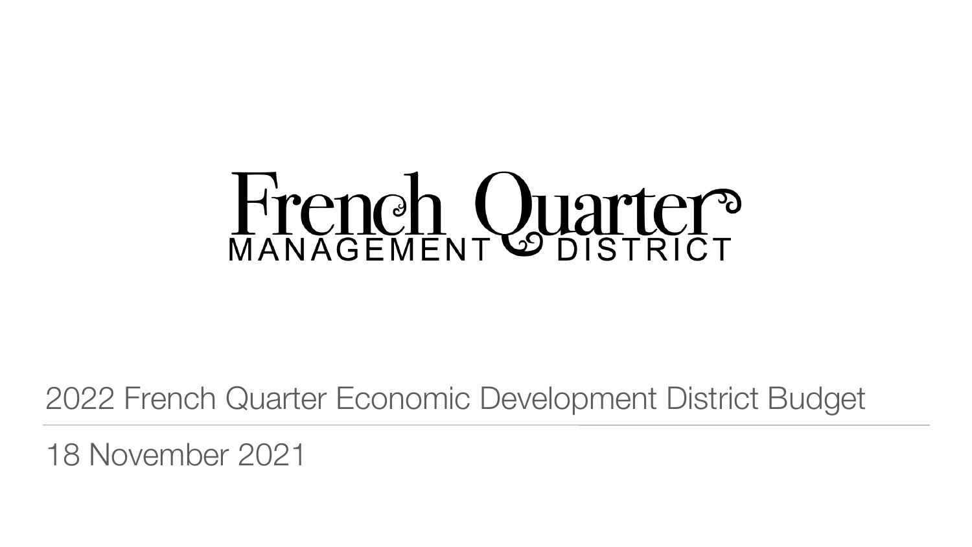# Hrench Quarter?

# 2022 French Quarter Economic Development District Budget

# 18 November 2021

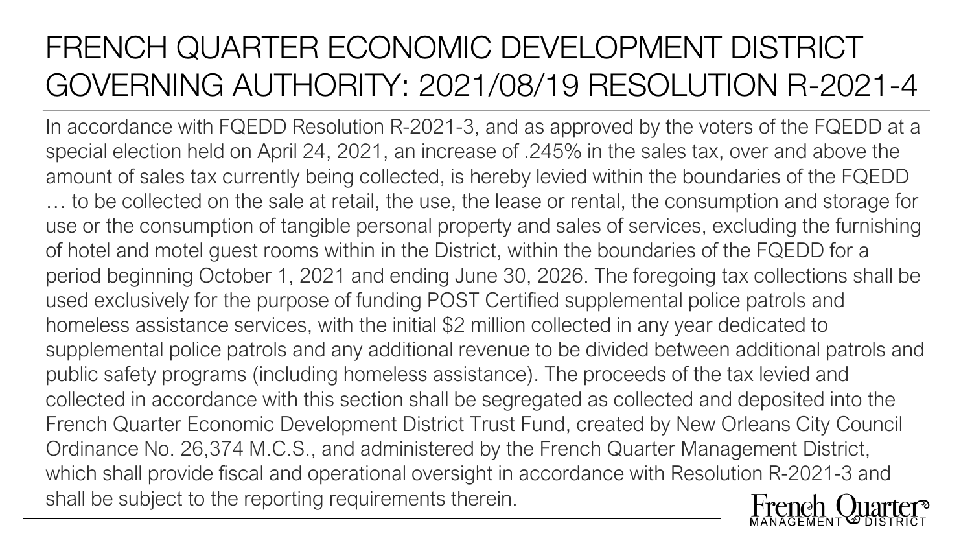# FRENCH QUARTER ECONOMIC DEVELOPMENT DISTRICT GOVERNING AUTHORITY: 2021/08/19 RESOLUTION R-2021-4

In accordance with FQEDD Resolution R-2021-3, and as approved by the voters of the FQEDD at a special election held on April 24, 2021, an increase of .245% in the sales tax, over and above the amount of sales tax currently being collected, is hereby levied within the boundaries of the FQEDD … to be collected on the sale at retail, the use, the lease or rental, the consumption and storage for use or the consumption of tangible personal property and sales of services, excluding the furnishing of hotel and motel guest rooms within in the District, within the boundaries of the FQEDD for a period beginning October 1, 2021 and ending June 30, 2026. The foregoing tax collections shall be used exclusively for the purpose of funding POST Certified supplemental police patrols and homeless assistance services, with the initial \$2 million collected in any year dedicated to supplemental police patrols and any additional revenue to be divided between additional patrols and public safety programs (including homeless assistance). The proceeds of the tax levied and collected in accordance with this section shall be segregated as collected and deposited into the French Quarter Economic Development District Trust Fund, created by New Orleans City Council Ordinance No. 26,374 M.C.S., and administered by the French Quarter Management District, which shall provide fiscal and operational oversight in accordance with Resolution R-2021-3 and shall be subject to the reporting requirements therein.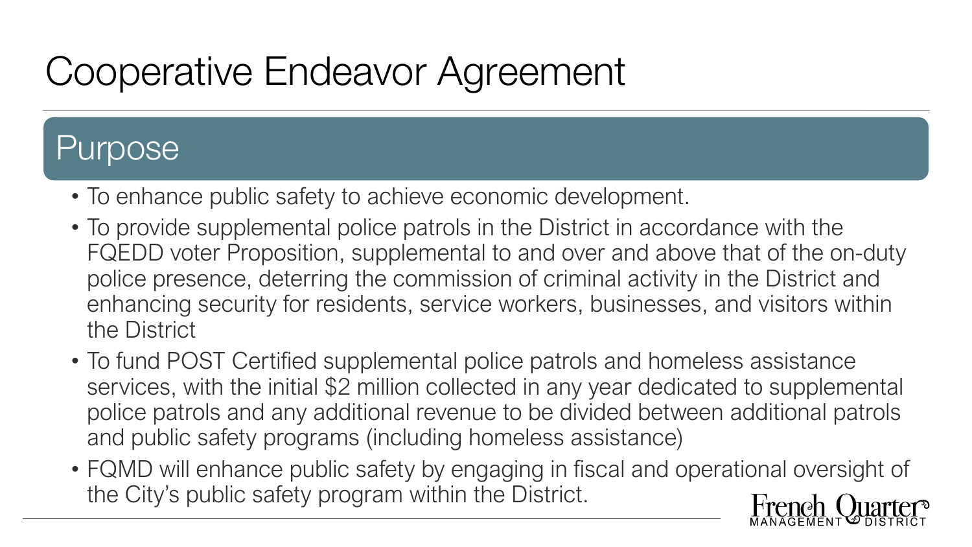# Cooperative Endeavor Agreement

# Purpose

- To enhance public safety to achieve economic development.
- To provide supplemental police patrols in the District in accordance with the FQEDD voter Proposition, supplemental to and over and above that of the on-duty police presence, deterring the commission of criminal activity in the District and enhancing security for residents, service workers, businesses, and visitors within the District
- To fund POST Certified supplemental police patrols and homeless assistance services, with the initial \$2 million collected in any year dedicated to supplemental police patrols and any additional revenue to be divided between additional patrols and public safety programs (including homeless assistance)
- FQMD will enhance public safety by engaging in fiscal and operational oversight of the City's public safety program within the District.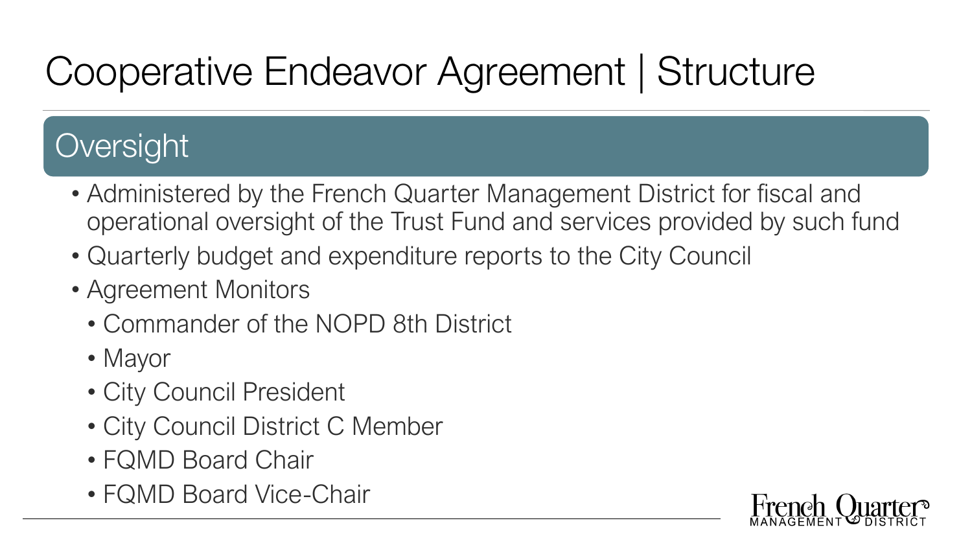# Cooperative Endeavor Agreement | Structure

# **Oversight**

- Administered by the French Quarter Management District for fiscal and operational oversight of the Trust Fund and services provided by such fund
- Quarterly budget and expenditure reports to the City Council
- Agreement Monitors
	- Commander of the NOPD 8th District
	- Mayor
	- City Council President
	- City Council District C Member
	- FQMD Board Chair
	- FQMD Board Vice-Chair

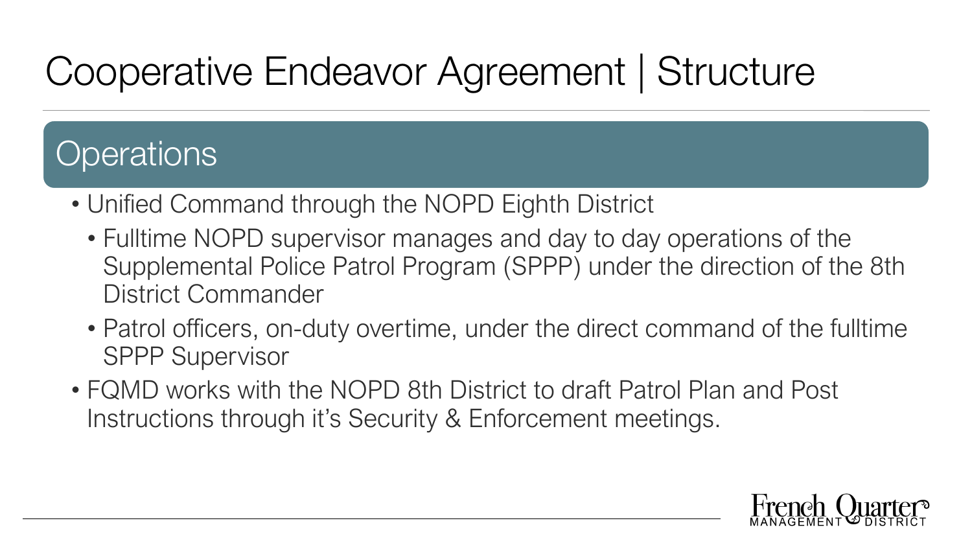# Cooperative Endeavor Agreement | Structure

# **Operations**

- Unified Command through the NOPD Eighth District
	- Fulltime NOPD supervisor manages and day to day operations of the Supplemental Police Patrol Program (SPPP) under the direction of the 8th District Commander
	- Patrol officers, on-duty overtime, under the direct command of the fulltime SPPP Supervisor
- FQMD works with the NOPD 8th District to draft Patrol Plan and Post Instructions through it's Security & Enforcement meetings.

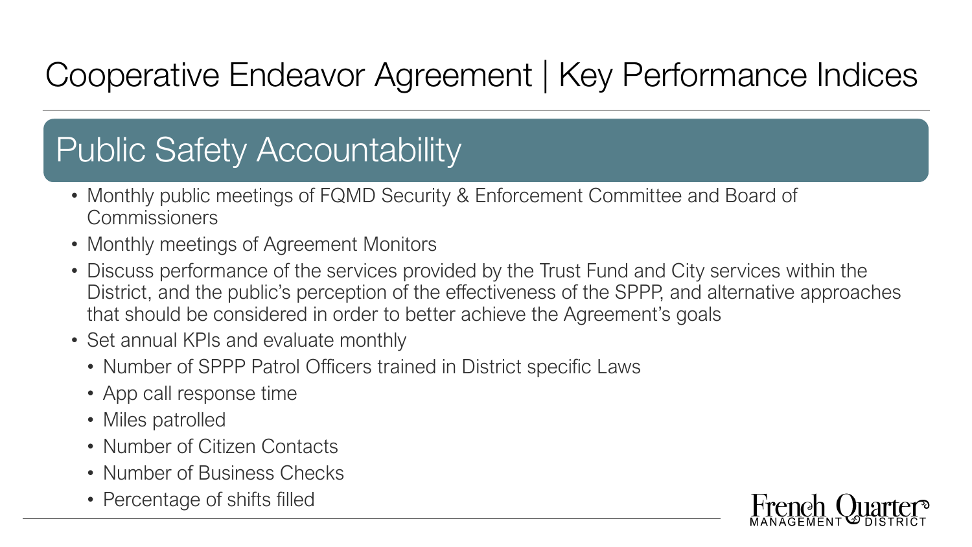# Cooperative Endeavor Agreement | Key Performance Indices

# Public Safety Accountability

- Monthly public meetings of FQMD Security & Enforcement Committee and Board of **Commissioners**
- Monthly meetings of Agreement Monitors
- Discuss performance of the services provided by the Trust Fund and City services within the District, and the public's perception of the effectiveness of the SPPP, and alternative approaches that should be considered in order to better achieve the Agreement's goals
- Set annual KPIs and evaluate monthly
	- Number of SPPP Patrol Officers trained in District specific Laws
	- App call response time
	- Miles patrolled
	- Number of Citizen Contacts
	- Number of Business Checks
	- Percentage of shifts filled

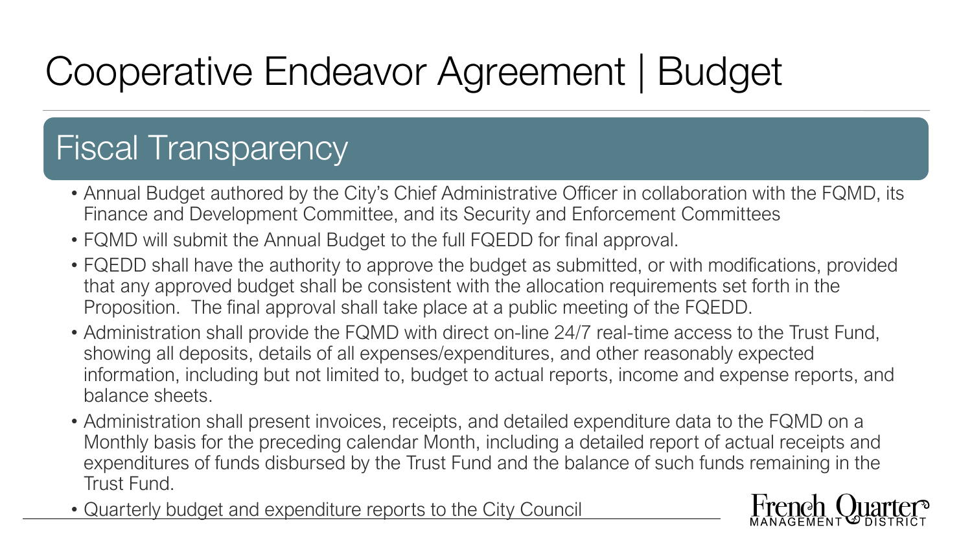# Cooperative Endeavor Agreement | Budget

# Fiscal Transparency

- Annual Budget authored by the City's Chief Administrative Officer in collaboration with the FQMD, its Finance and Development Committee, and its Security and Enforcement Committees
- FQMD will submit the Annual Budget to the full FQEDD for final approval.
- FQEDD shall have the authority to approve the budget as submitted, or with modifications, provided that any approved budget shall be consistent with the allocation requirements set forth in the Proposition. The final approval shall take place at a public meeting of the FQEDD.
- Administration shall provide the FQMD with direct on-line 24/7 real-time access to the Trust Fund, showing all deposits, details of all expenses/expenditures, and other reasonably expected information, including but not limited to, budget to actual reports, income and expense reports, and balance sheets.
- Administration shall present invoices, receipts, and detailed expenditure data to the FQMD on a Monthly basis for the preceding calendar Month, including a detailed report of actual receipts and expenditures of funds disbursed by the Trust Fund and the balance of such funds remaining in the Trust Fund.
- Quarterly budget and expenditure reports to the City Council

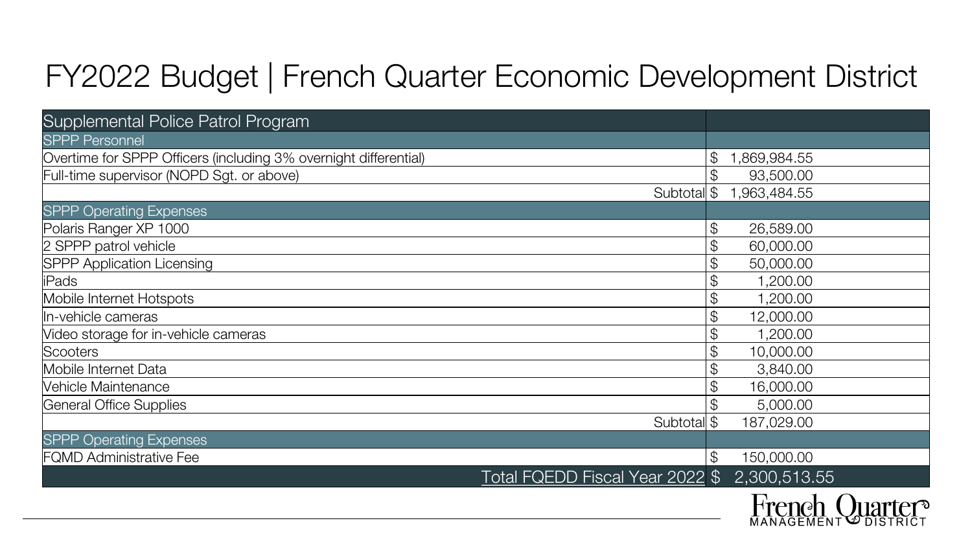# FY2022 Budget | French Quarter Economic Development District

# Supplemental Police Patrol Program

# **SPPP Operating Expenses**

# **SPPP Operating Expenses**

| <b>Supplemental Police Patrol Program</b>                        |               |                |
|------------------------------------------------------------------|---------------|----------------|
| <b>SPPP Personnel</b>                                            |               |                |
| Overtime for SPPP Officers (including 3% overnight differential) | $\mathcal{P}$ | ,869,984.55    |
| Full-time supervisor (NOPD Sgt. or above)                        | $\mathcal{L}$ | 93,500.00      |
| Subtotal \$                                                      |               | ,963,484.55    |
| <b>SPPP Operating Expenses</b>                                   |               |                |
| Polaris Ranger XP 1000                                           | $\mathcal{P}$ | 26,589.00      |
| 2 SPPP patrol vehicle                                            | $\mathcal{P}$ | 60,000.00      |
| <b>SPPP Application Licensing</b>                                | $\mathcal{P}$ | 50,000.00      |
| <b>iPads</b>                                                     | $\mathcal{P}$ | 1,200.00       |
| Mobile Internet Hotspots                                         | $\mathcal{P}$ | 1,200.00       |
| In-vehicle cameras                                               | $\mathcal{L}$ | 12,000.00      |
| Video storage for in-vehicle cameras                             | $\mathcal{L}$ | 1,200.00       |
| <b>Scooters</b>                                                  | $\mathcal{P}$ | 10,000.00      |
| Mobile Internet Data                                             | $\mathcal{P}$ | 3,840.00       |
| Vehicle Maintenance                                              | $\mathcal{P}$ | 16,000.00      |
| <b>General Office Supplies</b>                                   | $\mathcal{P}$ | 5,000.00       |
| Subtotal \$                                                      |               | 187,029.00     |
| <b>SPPP Operating Expenses</b>                                   |               |                |
| <b>FQMD Administrative Fee</b>                                   | $\mathcal{L}$ | 150,000.00     |
| Total FQEDD Fiscal Year 2022 \$                                  |               | 2,300,513.55   |
|                                                                  |               | French Quarter |